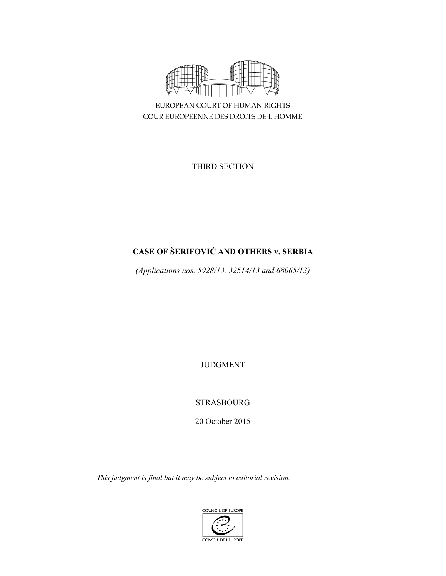

EUROPEAN COURT OF HUMAN RIGHTS COUR EUROPÉENNE DES DROITS DE L'HOMME

THIRD SECTION

# **CASE OF ŠERIFOVIĆ AND OTHERS v. SERBIA**

*(Applications nos. 5928/13, 32514/13 and 68065/13)* 

JUDGMENT

STRASBOURG

20 October 2015

*This judgment is final but it may be subject to editorial revision.* 

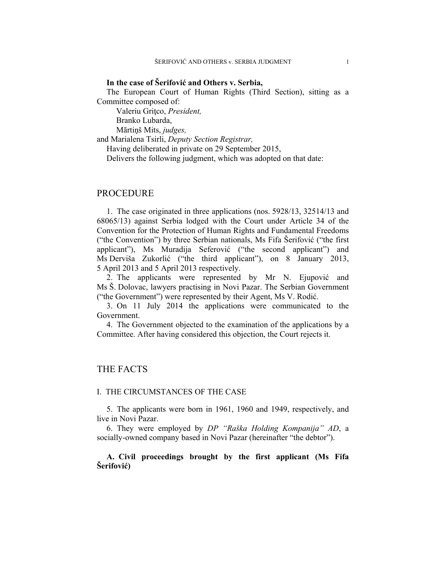## **In the case of Šerifović and Others v. Serbia,**

The European Court of Human Rights (Third Section), sitting as a Committee composed of:

Valeriu Gritco, President,

Branko Lubarda,

Mārtiņš Mits, *judges,*

and Marialena Tsirli, *Deputy Section Registrar,*

Having deliberated in private on 29 September 2015,

Delivers the following judgment, which was adopted on that date:

## PROCEDURE

1. The case originated in three applications (nos. 5928/13, 32514/13 and 68065/13) against Serbia lodged with the Court under Article 34 of the Convention for the Protection of Human Rights and Fundamental Freedoms ("the Convention") by three Serbian nationals, Ms Fifa Šerifović ("the first applicant"), Ms Muradija Seferović ("the second applicant") and Ms Derviša Zukorlić ("the third applicant"), on 8 January 2013, 5 April 2013 and 5 April 2013 respectively.

2. The applicants were represented by Mr N. Ejupović and Ms Š. Dolovac, lawyers practising in Novi Pazar. The Serbian Government ("the Government") were represented by their Agent, Ms V. Rodić.

3. On 11 July 2014 the applications were communicated to the Government.

4. The Government objected to the examination of the applications by a Committee. After having considered this objection, the Court rejects it.

## THE FACTS

### I. THE CIRCUMSTANCES OF THE CASE

5. The applicants were born in 1961, 1960 and 1949, respectively, and live in Novi Pazar.

6. They were employed by *DP "Raška Holding Kompanija" AD*, a socially-owned company based in Novi Pazar (hereinafter "the debtor").

**A. Civil proceedings brought by the first applicant (Ms Fifa Šerifović)**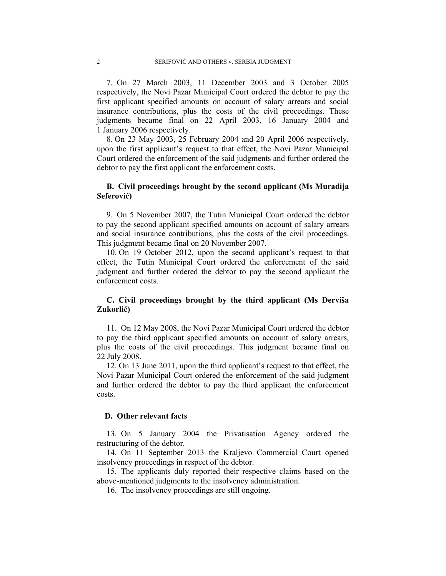7. On 27 March 2003, 11 December 2003 and 3 October 2005 respectively, the Novi Pazar Municipal Court ordered the debtor to pay the first applicant specified amounts on account of salary arrears and social insurance contributions, plus the costs of the civil proceedings. These judgments became final on 22 April 2003, 16 January 2004 and 1 January 2006 respectively.

8. On 23 May 2003, 25 February 2004 and 20 April 2006 respectively, upon the first applicant's request to that effect, the Novi Pazar Municipal Court ordered the enforcement of the said judgments and further ordered the debtor to pay the first applicant the enforcement costs.

## **B. Civil proceedings brought by the second applicant (Ms Muradija Seferović)**

9. On 5 November 2007, the Tutin Municipal Court ordered the debtor to pay the second applicant specified amounts on account of salary arrears and social insurance contributions, plus the costs of the civil proceedings. This judgment became final on 20 November 2007.

10. On 19 October 2012, upon the second applicant's request to that effect, the Tutin Municipal Court ordered the enforcement of the said judgment and further ordered the debtor to pay the second applicant the enforcement costs.

## **C. Civil proceedings brought by the third applicant (Ms Derviša Zukorlić)**

11. On 12 May 2008, the Novi Pazar Municipal Court ordered the debtor to pay the third applicant specified amounts on account of salary arrears, plus the costs of the civil proceedings. This judgment became final on 22 July 2008.

12. On 13 June 2011, upon the third applicant's request to that effect, the Novi Pazar Municipal Court ordered the enforcement of the said judgment and further ordered the debtor to pay the third applicant the enforcement costs.

## **D. Other relevant facts**

13. On 5 January 2004 the Privatisation Agency ordered the restructuring of the debtor.

14. On 11 September 2013 the Kraljevo Commercial Court opened insolvency proceedings in respect of the debtor.

15. The applicants duly reported their respective claims based on the above-mentioned judgments to the insolvency administration.

16. The insolvency proceedings are still ongoing.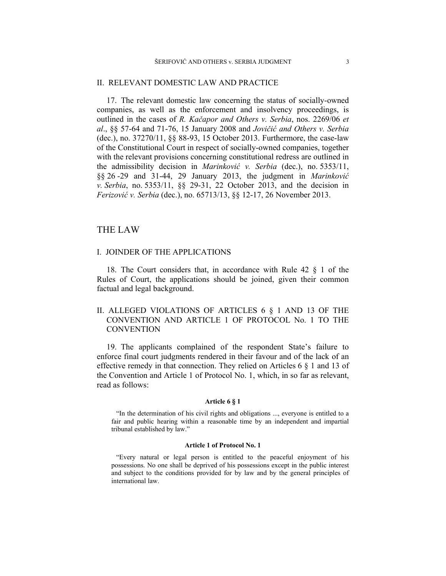### II. RELEVANT DOMESTIC LAW AND PRACTICE

17. The relevant domestic law concerning the status of socially-owned companies, as well as the enforcement and insolvency proceedings, is outlined in the cases of *R. Kačapor and Others v. Serbia*, nos. 2269/06 *et al*., §§ 57-64 and 71-76, 15 January 2008 and *Jovičić and Others v. Serbia* (dec.), no. 37270/11, §§ 88-93, 15 October 2013. Furthermore, the case-law of the Constitutional Court in respect of socially-owned companies, together with the relevant provisions concerning constitutional redress are outlined in the admissibility decision in *Marinković v. Serbia* (dec.), no. 5353/11, §§ 26 -29 and 31-44, 29 January 2013, the judgment in *Marinković v. Serbia*, no. 5353/11, §§ 29-31, 22 October 2013, and the decision in *Ferizović v. Serbia* (dec.), no. 65713/13, §§ 12-17, 26 November 2013.

## THE LAW

## I. JOINDER OF THE APPLICATIONS

18. The Court considers that, in accordance with Rule 42 § 1 of the Rules of Court, the applications should be joined, given their common factual and legal background.

## II. ALLEGED VIOLATIONS OF ARTICLES 6 § 1 AND 13 OF THE CONVENTION AND ARTICLE 1 OF PROTOCOL No. 1 TO THE **CONVENTION**

19. The applicants complained of the respondent State's failure to enforce final court judgments rendered in their favour and of the lack of an effective remedy in that connection. They relied on Articles 6 § 1 and 13 of the Convention and Article 1 of Protocol No. 1, which, in so far as relevant, read as follows:

#### **Article 6 § 1**

"In the determination of his civil rights and obligations ..., everyone is entitled to a fair and public hearing within a reasonable time by an independent and impartial tribunal established by law."

#### **Article 1 of Protocol No. 1**

"Every natural or legal person is entitled to the peaceful enjoyment of his possessions. No one shall be deprived of his possessions except in the public interest and subject to the conditions provided for by law and by the general principles of international law.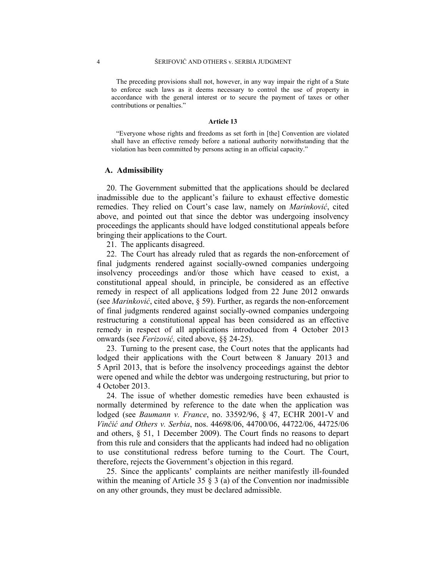The preceding provisions shall not, however, in any way impair the right of a State to enforce such laws as it deems necessary to control the use of property in accordance with the general interest or to secure the payment of taxes or other contributions or penalties."

#### **Article 13**

"Everyone whose rights and freedoms as set forth in [the] Convention are violated shall have an effective remedy before a national authority notwithstanding that the violation has been committed by persons acting in an official capacity."

#### **A. Admissibility**

20. The Government submitted that the applications should be declared inadmissible due to the applicant's failure to exhaust effective domestic remedies. They relied on Court's case law, namely on *Marinković*, cited above, and pointed out that since the debtor was undergoing insolvency proceedings the applicants should have lodged constitutional appeals before bringing their applications to the Court.

21. The applicants disagreed.

22. The Court has already ruled that as regards the non-enforcement of final judgments rendered against socially-owned companies undergoing insolvency proceedings and/or those which have ceased to exist, a constitutional appeal should, in principle, be considered as an effective remedy in respect of all applications lodged from 22 June 2012 onwards (see *Marinković*, cited above, § 59). Further, as regards the non-enforcement of final judgments rendered against socially-owned companies undergoing restructuring a constitutional appeal has been considered as an effective remedy in respect of all applications introduced from 4 October 2013 onwards (see *Ferizović,* cited above, §§ 24-25).

23. Turning to the present case, the Court notes that the applicants had lodged their applications with the Court between 8 January 2013 and 5 April 2013, that is before the insolvency proceedings against the debtor were opened and while the debtor was undergoing restructuring, but prior to 4 October 2013.

24. The issue of whether domestic remedies have been exhausted is normally determined by reference to the date when the application was lodged (see *Baumann v. France*, no. 33592/96, § 47, ECHR 2001-V and *Vinčić and Others v. Serbia*, nos. 44698/06, 44700/06, 44722/06, 44725/06 and others, § 51, 1 December 2009). The Court finds no reasons to depart from this rule and considers that the applicants had indeed had no obligation to use constitutional redress before turning to the Court. The Court, therefore, rejects the Government's objection in this regard.

25. Since the applicants' complaints are neither manifestly ill-founded within the meaning of Article 35  $\S$  3 (a) of the Convention nor inadmissible on any other grounds, they must be declared admissible.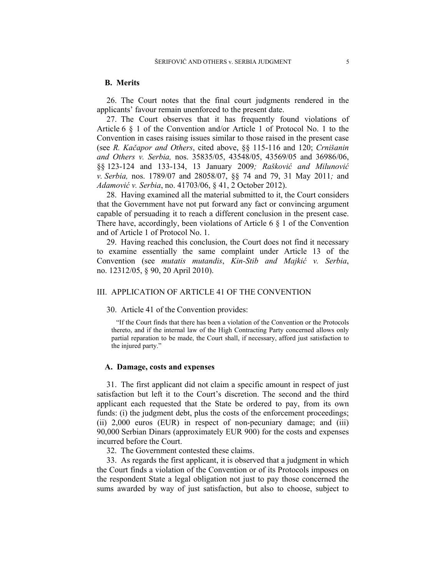### **B. Merits**

26. The Court notes that the final court judgments rendered in the applicants' favour remain unenforced to the present date.

27. The Court observes that it has frequently found violations of Article 6 § 1 of the Convention and/or Article 1 of Protocol No. 1 to the Convention in cases raising issues similar to those raised in the present case (see *R. Kačapor and Others*, cited above, §§ 115-116 and 120; *Crnišanin and Others v. Serbia,* nos. 35835/05, 43548/05, 43569/05 and 36986/06, §§ 123-124 and 133-134, 13 January 2009*; Rašković and Milunović v. Serbia,* nos. 1789/07 and 28058/07, §§ 74 and 79, 31 May 2011*;* and *Adamović v. Serbia*, no. 41703/06, § 41, 2 October 2012).

28. Having examined all the material submitted to it, the Court considers that the Government have not put forward any fact or convincing argument capable of persuading it to reach a different conclusion in the present case. There have, accordingly, been violations of Article 6  $\S$  1 of the Convention and of Article 1 of Protocol No. 1.

29. Having reached this conclusion, the Court does not find it necessary to examine essentially the same complaint under Article 13 of the Convention (see *mutatis mutandis*, *Kin-Stib and Majkić v. Serbia*, no. 12312/05, § 90, 20 April 2010).

## III. APPLICATION OF ARTICLE 41 OF THE CONVENTION

### 30. Article 41 of the Convention provides:

"If the Court finds that there has been a violation of the Convention or the Protocols thereto, and if the internal law of the High Contracting Party concerned allows only partial reparation to be made, the Court shall, if necessary, afford just satisfaction to the injured party."

### **A. Damage, costs and expenses**

31. The first applicant did not claim a specific amount in respect of just satisfaction but left it to the Court's discretion. The second and the third applicant each requested that the State be ordered to pay, from its own funds: (i) the judgment debt, plus the costs of the enforcement proceedings; (ii) 2,000 euros (EUR) in respect of non-pecuniary damage; and (iii) 90,000 Serbian Dinars (approximately EUR 900) for the costs and expenses incurred before the Court.

32. The Government contested these claims.

33. As regards the first applicant, it is observed that a judgment in which the Court finds a violation of the Convention or of its Protocols imposes on the respondent State a legal obligation not just to pay those concerned the sums awarded by way of just satisfaction, but also to choose, subject to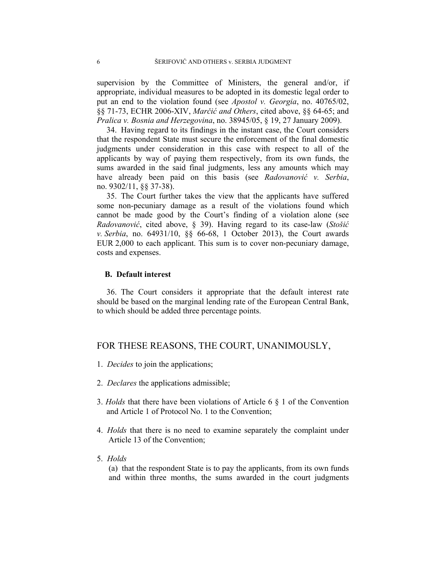supervision by the Committee of Ministers, the general and/or, if appropriate, individual measures to be adopted in its domestic legal order to put an end to the violation found (see *Apostol v. Georgia*, no. 40765/02, §§ 71-73, ECHR 2006-XIV, *Marčić and Others*, cited above, §§ 64-65; and *Pralica v. Bosnia and Herzegovina*, no. 38945/05, § 19, 27 January 2009).

34. Having regard to its findings in the instant case, the Court considers that the respondent State must secure the enforcement of the final domestic judgments under consideration in this case with respect to all of the applicants by way of paying them respectively, from its own funds, the sums awarded in the said final judgments, less any amounts which may have already been paid on this basis (see *Radovanović v. Serbia*, no. 9302/11, §§ 37-38).

35. The Court further takes the view that the applicants have suffered some non-pecuniary damage as a result of the violations found which cannot be made good by the Court's finding of a violation alone (see *Radovanović*, cited above, § 39). Having regard to its case-law (*Stošić v. Serbia*, no. 64931/10, §§ 66-68, 1 October 2013), the Court awards EUR 2,000 to each applicant. This sum is to cover non-pecuniary damage, costs and expenses.

### **B. Default interest**

36. The Court considers it appropriate that the default interest rate should be based on the marginal lending rate of the European Central Bank, to which should be added three percentage points.

## FOR THESE REASONS, THE COURT, UNANIMOUSLY,

- 1. *Decides* to join the applications;
- 2. *Declares* the applications admissible;
- 3. *Holds* that there have been violations of Article 6 § 1 of the Convention and Article 1 of Protocol No. 1 to the Convention;
- 4. *Holds* that there is no need to examine separately the complaint under Article 13 of the Convention;
- 5. *Holds*

(a) that the respondent State is to pay the applicants, from its own funds and within three months, the sums awarded in the court judgments